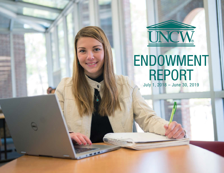

# ENDOWMENT REPORT

July 1, 2018 – June 30, 2019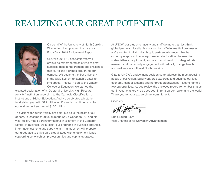### REALIZING OUR GREAT POTENTIAL



On behalf of the University of North Carolina Wilmington, I am pleased to share our Fiscal Year 2019 Endowment Report.

UNCW's 2018-19 academic year will always be remembered as a time of great success, despite the tremendous challenges that Hurricane Florence brought to our campus. We became the first university in the UNC System to launch a satellite into space. Thanks in part to the Watson College of Education, we earned the

elevated designation of a "Doctoral University: High Research Activity" institution according to the Carnegie Classification of Institutions of Higher Education. And we celebrated a historic fundraising year with \$23 million in gifts and commitments while our endowment surpassed \$100 million.

The visions for our university are bold, but so is the belief of our donors. In December 2018, alumnus David Congdon '78, and his wife, Helen, made a transformational investment in the Cameron School of Business. As a result, our programs in business analytics, information systems and supply chain management will prepare our graduates to thrive on a global stage with endowment funds supporting scholarships, professorships and capital upgrades.

At UNCW, our students, faculty and staff do more than just think globally—we act locally. As construction of Veterans Hall progresses, we're excited to find philanthropic partners who recognize that our unique approach to interprofessional education, the need for state-of-the-art equipment, and our commitment to undergraduate research and community engagement will radically change health and wellness in southeast North Carolina.

Gifts to UNCW's endowment position us to address the most pressing needs of our region, build workforce expertise and advance our local economy, school systems and nonprofit organizations—just to name a few opportunities. As you review the enclosed report, remember that as our investments grow, so does your imprint on our region and the world. Thank you for your extraordinary commitment.

Sincerely,

Eddie Stuart '05M Vice Chancellor for University Advancement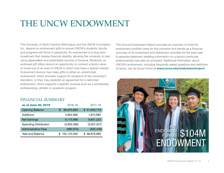#### THE UNCW ENDOWMENT

The University of North Carolina Wilmington and the UNCW Foundation Inc. depend on endowment gifts to ensure UNCW's students, faculty and programs will thrive in perpetuity. An endowment is a long-term investment that creates financial stability, allowing the university to plan using dependable and predictable sources of revenue. Moreover, an endowed gift offers donors an opportunity to connect a family name or loved one to an area of UNCW in which they have a special interest. Endowment donors may make gifts to either an unrestricted endowment, which provides support for programs at the university's discretion, or they may establish an agreement for a restricted endowment, which supports a specific purpose such as a scholarship, professorship, athletic or academic program.

#### FINANCIAL SUMMARY

| as of June 30, 2019          |   | 2018-19     | 2017-18      |
|------------------------------|---|-------------|--------------|
| <b>Opening Balance</b>       | S | 98,876,860  | \$91,940,718 |
| Additions                    |   | 3,854,980   | 1,874,885    |
| <b>Net Earnings</b>          |   | 6,175,898   | 9,601,223    |
| <b>Spending Distribution</b> |   | (3,803,366) | (3,607,527)  |
| <b>Administrative Fees</b>   |   | (980, 972)  | (932, 439)   |
| Year-end Balance             |   | 104,123,400 | \$98,876,860 |

This Annual Endowment Report provides an overview of what the endowment portfolio does for the university and serves as a financial summary of its investment and distribution activities for the past year. A separate statement detailing information on a donor's particular endowment(s) may also be enclosed. Additional information about UNCW's endowment, including frequently asked questions and definition of terms, can be found online at www.uncw.edu/endowmentreport.

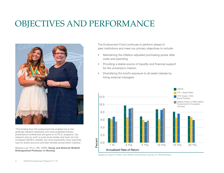### OBJECTIVES AND PERFORMANCE



"The funding from this endowment has enabled me to hire graduate research assistants who have published articles, presented at conferences and gone on to Ph.D. programs. Our research and my work on post-acute stroke care have not only increased UNCW's visibility, but more importantly, have improved care for stroke survivors and their families across North Carolina."

Barbara Lutz, Ph.D., RN, CRRN, Sandy and Deborah McNeill Distinguished Professor in Nursing

The Endowment Fund continues to perform ahead of peer institutions and meet our primary objectives to include:

- Maintaining the inflation-adjusted purchasing power after costs and spending
- Providing a stable source of liquidity and financial support for the university's mission
- Diversifying the fund's exposure to all asset classes by hiring external managers



Based on Bank of New York Mellon endowment survey of 138 portfolios.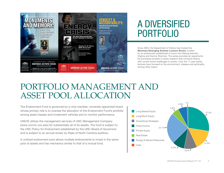

# A DIVERSIFIED PORTFOLIO

Since 2002, the Department of History has hosted the Sherman Emerging Scholar Lecture Series, funded by an endowment established to honor two lifelong learners, Virginia and Derrick Sherman. The series provides an opportunity for promising scholars to share research that connects history with current world challenges or events. Over the 17-year series, lectures have focused on the environment, disease and spirituality, among other topics.

#### PORTFOLIO MANAGEMENT AND ASSET POOL ALLOCATION

The Endowment Fund is governed by a nine-member, university-appointed board whose primary role is to oversee the allocation of the Endowment Fund's portfolio among asset classes and investment vehicles and to monitor performance.

UNCW utilizes the management services of UNC Management Company (www.uncmc.unc.edu) for substantially all of its assets. The fund is subject to the UNC Policy for Endowment established by the UNC Board of Governors and is subject to an annual review by State of North Carolina auditors.

A unitized endowment pool allows multiple endowments to invest in the same pool of assets and has mechanics similar to that of a mutual fund.

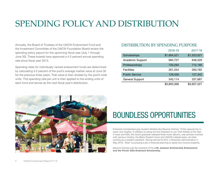# SPENDING POLICY AND DISTRIBUTION

Annually, the Board of Trustees of the UNCW Endowment Fund and the Investment Committee of the UNCW Foundation Board review the spending policy payout for the upcoming fiscal year (July 1 through June 30). These boards have approved a 4.5 percent annual spending rate since fiscal year 2013.

Spending rates for individually named endowment funds are determined by calculating 4.5 percent of the pool's average market value at June 30 for the previous three years. That value is then divided by the pool's total units. This spending rate per unit is then applied to the ending units of each fund and serves as the next fiscal year's distribution.

#### DISTRIBUTION BY SPENDING PURPOSE

|                        | 2018-19     | 2017-18     |
|------------------------|-------------|-------------|
| Scholarships           | \$1,664,521 | \$1,523,027 |
| Academic Support       | 684,727     | 646,529     |
| Professorships         | 720,294     | 712,180     |
| <b>Facilities</b>      | 261,254     | 260,762     |
| <b>Public Service</b>  | 129,456     | 127,342     |
| <b>General Support</b> | 343,114     | 337,687     |
|                        | \$3,803,366 | \$3,607,527 |



## BOUNDLESS OPPORTUNITIES

Endowed scholarships give student-athletes like Maurice Holmes '19 the opportunity to reach new heights. In addition to being the first Seahawk to win CAA Athlete of the Year in track and field, the recent graduate released three music albums, was actively involved with campus ministry, the Black Student Union and UNCW's debate team, all while working as a resident assistant. Having earned his B.S. in Business Administration in May 2019, "Moe" is pursuing a job in financial planning to assist low-income students.

Maurice Holmes was the recipient of the J.W. Jackson Scholarship Endowment and the Porter SAA Endowed Scholarship.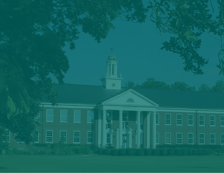